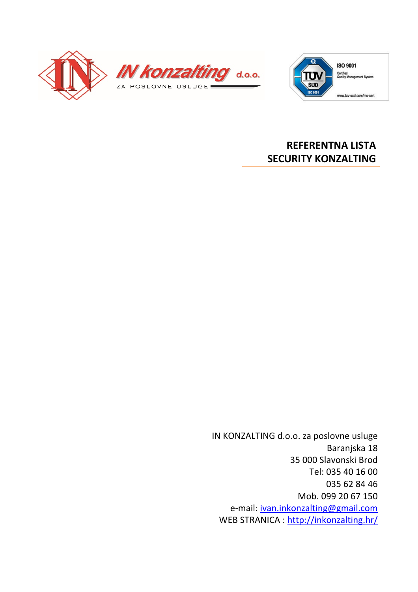



**Certified**<br>Quality Management System

www.tuv-sud.com/ms-cert

## **REFERENTNA LISTA SECURITY KONZALTING**

IN KONZALTING d.o.o. za poslovne usluge Baranjska 18 35 000 Slavonski Brod Tel: 035 40 16 00 035 62 84 46 Mob. 099 20 67 150 e-mail: ivan.inkonzalting@gmail.com WEB STRANICA : http://inkonzalting.hr/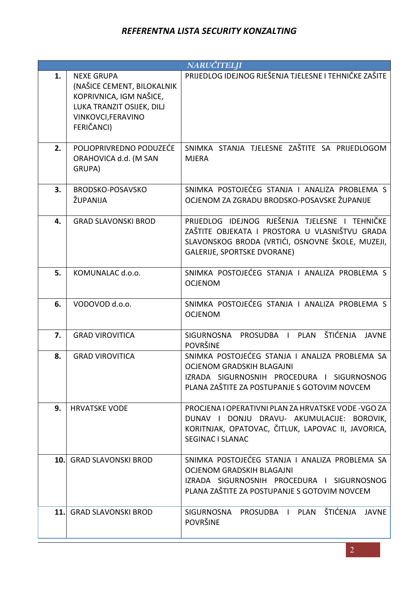| <b>NARUČITELJI</b> |                                                                                                                                             |                                                                                                                                                                                            |  |  |  |  |  |  |
|--------------------|---------------------------------------------------------------------------------------------------------------------------------------------|--------------------------------------------------------------------------------------------------------------------------------------------------------------------------------------------|--|--|--|--|--|--|
| 1.                 | <b>NEXE GRUPA</b><br>(NAŠICE CEMENT, BILOKALNIK<br>KOPRIVNICA, IGM NAŠICE,<br>LUKA TRANZIT OSIJEK, DILJ<br>VINKOVCI, FERAVINO<br>FERIČANCI) | PRIJEDLOG IDEJNOG RJEŠENJA TJELESNE I TEHNIČKE ZAŠITE                                                                                                                                      |  |  |  |  |  |  |
| 2.                 | POLJOPRIVREDNO PODUZEĆE<br>ORAHOVICA d.d. (M SAN<br>GRUPA)                                                                                  | SNIMKA STANJA TJELESNE ZAŠTITE SA PRIJEDLOGOM<br><b>MJERA</b>                                                                                                                              |  |  |  |  |  |  |
| 3.                 | BRODSKO-POSAVSKO<br>ŽUPANIJA                                                                                                                | SNIMKA POSTOJEĆEG STANJA I ANALIZA PROBLEMA S<br>OCJENOM ZA ZGRADU BRODSKO-POSAVSKE ŽUPANIJE                                                                                               |  |  |  |  |  |  |
| 4.                 | <b>GRAD SLAVONSKI BROD</b>                                                                                                                  | PRIJEDLOG IDEJNOG RJEŠENJA TJELESNE I TEHNIČKE<br>ZAŠTITE OBJEKATA I PROSTORA U VLASNIŠTVU GRADA<br>SLAVONSKOG BRODA (VRTIĆI, OSNOVNE ŠKOLE, MUZEJI,<br><b>GALERIJE, SPORTSKE DVORANE)</b> |  |  |  |  |  |  |
| 5.                 | KOMUNALAC d.o.o.                                                                                                                            | SNIMKA POSTOJEĆEG STANJA I ANALIZA PROBLEMA S<br><b>OCJENOM</b>                                                                                                                            |  |  |  |  |  |  |
| 6.                 | VODOVOD d.o.o.                                                                                                                              | SNIMKA POSTOJEĆEG STANJA I ANALIZA PROBLEMA S<br><b>OCJENOM</b>                                                                                                                            |  |  |  |  |  |  |
| 7.                 | <b>GRAD VIROVITICA</b>                                                                                                                      | ŠTIĆENJA<br>SIGURNOSNA<br>PROSUDBA I<br><b>PLAN</b><br><b>JAVNE</b><br><b>POVRŠINE</b>                                                                                                     |  |  |  |  |  |  |
| 8.                 | <b>GRAD VIROVITICA</b>                                                                                                                      | SNIMKA POSTOJEĆEG STANJA I ANALIZA PROBLEMA SA<br><b>OCJENOM GRADSKIH BLAGAJNI</b><br>IZRADA SIGURNOSNIH PROCEDURA I SIGURNOSNOG<br>PLANA ZAŠTITE ZA POSTUPANJE S GOTOVIM NOVCEM           |  |  |  |  |  |  |
| 9.                 | <b>HRVATSKE VODE</b>                                                                                                                        | PROCJENA I OPERATIVNI PLAN ZA HRVATSKE VODE-VGO ZA<br>DUNAV I DONJU DRAVU- AKUMULACIJE: BOROVIK,<br>KORITNJAK, OPATOVAC, ČITLUK, LAPOVAC II, JAVORICA,<br><b>SEGINAC I SLANAC</b>          |  |  |  |  |  |  |
| 10.                | <b>GRAD SLAVONSKI BROD</b>                                                                                                                  | SNIMKA POSTOJEĆEG STANJA I ANALIZA PROBLEMA SA<br><b>OCJENOM GRADSKIH BLAGAJNI</b><br>IZRADA SIGURNOSNIH PROCEDURA I SIGURNOSNOG<br>PLANA ZAŠTITE ZA POSTUPANJE S GOTOVIM NOVCEM           |  |  |  |  |  |  |
| 11.                | <b>GRAD SLAVONSKI BROD</b>                                                                                                                  | ŠTIĆENJA<br>SIGURNOSNA<br>PLAN<br><b>JAVNE</b><br>PROSUDBA I<br><b>POVRŠINE</b>                                                                                                            |  |  |  |  |  |  |